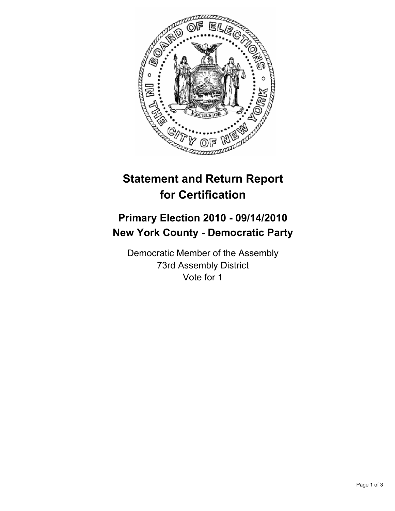

# **Statement and Return Report for Certification**

## **Primary Election 2010 - 09/14/2010 New York County - Democratic Party**

Democratic Member of the Assembly 73rd Assembly District Vote for 1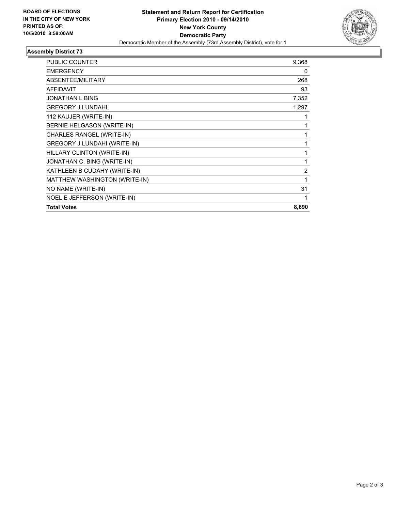

## **Assembly District 73**

| <b>PUBLIC COUNTER</b>         | 9,368          |
|-------------------------------|----------------|
| <b>EMERGENCY</b>              | 0              |
| ABSENTEE/MILITARY             | 268            |
| <b>AFFIDAVIT</b>              | 93             |
| <b>JONATHAN L BING</b>        | 7,352          |
| <b>GREGORY J LUNDAHL</b>      | 1,297          |
| 112 KAUJER (WRITE-IN)         | 1              |
| BERNIE HELGASON (WRITE-IN)    | 1              |
| CHARLES RANGEL (WRITE-IN)     | 1              |
| GREGORY J LUNDAHI (WRITE-IN)  | 1              |
| HILLARY CLINTON (WRITE-IN)    | 1              |
| JONATHAN C. BING (WRITE-IN)   | 1              |
| KATHLEEN B CUDAHY (WRITE-IN)  | $\overline{2}$ |
| MATTHEW WASHINGTON (WRITE-IN) | 1              |
| NO NAME (WRITE-IN)            | 31             |
| NOEL E JEFFERSON (WRITE-IN)   | 1              |
| <b>Total Votes</b>            | 8,690          |